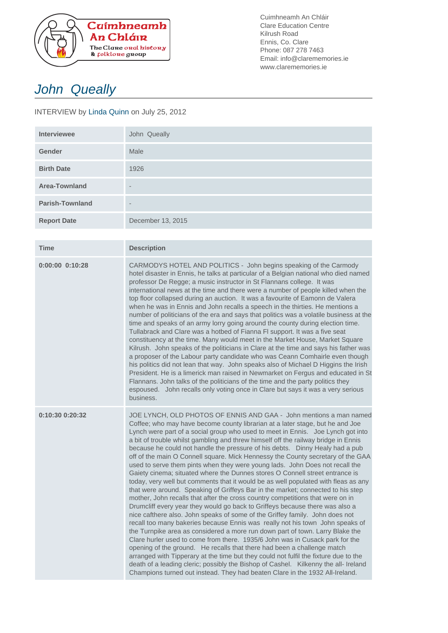

Cuimhneamh An Chláir Clare Education Centre Kilrush Road Ennis, Co. Clare Phone: 087 278 7463 Email: info@clarememories.ie www.clarememories.ie

## John Queally

## INTERVIEW by Linda Quinn on July 25, 2012

| <b>Interviewee</b>     | John Queally             |
|------------------------|--------------------------|
| <b>Gender</b>          | Male                     |
| <b>Birth Date</b>      | 1926                     |
| <b>Area-Townland</b>   | $\qquad \qquad$          |
| <b>Parish-Townland</b> | $\overline{\phantom{a}}$ |
| <b>Report Date</b>     | December 13, 2015        |

| <b>Time</b>         | <b>Description</b>                                                                                                                                                                                                                                                                                                                                                                                                                                                                                                                                                                                                                                                                                                                                                                                                                                                                                                                                                                                                                                                                                                                                                                                                                                                                                                                                                                                                                                                                                                                                                                                                                                                                      |
|---------------------|-----------------------------------------------------------------------------------------------------------------------------------------------------------------------------------------------------------------------------------------------------------------------------------------------------------------------------------------------------------------------------------------------------------------------------------------------------------------------------------------------------------------------------------------------------------------------------------------------------------------------------------------------------------------------------------------------------------------------------------------------------------------------------------------------------------------------------------------------------------------------------------------------------------------------------------------------------------------------------------------------------------------------------------------------------------------------------------------------------------------------------------------------------------------------------------------------------------------------------------------------------------------------------------------------------------------------------------------------------------------------------------------------------------------------------------------------------------------------------------------------------------------------------------------------------------------------------------------------------------------------------------------------------------------------------------------|
| $0:00:00$ $0:10:28$ | CARMODYS HOTEL AND POLITICS - John begins speaking of the Carmody<br>hotel disaster in Ennis, he talks at particular of a Belgian national who died named<br>professor De Regge; a music instructor in St Flannans college. It was<br>international news at the time and there were a number of people killed when the<br>top floor collapsed during an auction. It was a favourite of Eamonn de Valera<br>when he was in Ennis and John recalls a speech in the thirties. He mentions a<br>number of politicians of the era and says that politics was a volatile business at the<br>time and speaks of an army lorry going around the county during election time.<br>Tullabrack and Clare was a hotbed of Fianna FI support. It was a five seat<br>constituency at the time. Many would meet in the Market House, Market Square<br>Kilrush. John speaks of the politicians in Clare at the time and says his father was<br>a proposer of the Labour party candidate who was Ceann Comhairle even though<br>his politics did not lean that way. John speaks also of Michael D Higgins the Irish<br>President. He is a limerick man raised in Newmarket on Fergus and educated in St<br>Flannans. John talks of the politicians of the time and the party politics they<br>espoused. John recalls only voting once in Clare but says it was a very serious<br>business.                                                                                                                                                                                                                                                                                                                |
| 0:10:30 0:20:32     | JOE LYNCH, OLD PHOTOS OF ENNIS AND GAA - John mentions a man named<br>Coffee; who may have become county librarian at a later stage, but he and Joe<br>Lynch were part of a social group who used to meet in Ennis. Joe Lynch got into<br>a bit of trouble whilst gambling and threw himself off the railway bridge in Ennis<br>because he could not handle the pressure of his debts.  Dinny Healy had a pub<br>off of the main O Connell square. Mick Hennessy the County secretary of the GAA<br>used to serve them pints when they were young lads. John Does not recall the<br>Gaiety cinema; situated where the Dunnes stores O Connell street entrance is<br>today, very well but comments that it would be as well populated with fleas as any<br>that were around. Speaking of Griffeys Bar in the market; connected to his step<br>mother, John recalls that after the cross country competitions that were on in<br>Drumcliff every year they would go back to Griffeys because there was also a<br>nice cafthere also. John speaks of some of the Griffey family. John does not<br>recall too many bakeries because Ennis was really not his town John speaks of<br>the Turnpike area as considered a more run down part of town. Larry Blake the<br>Clare hurler used to come from there. 1935/6 John was in Cusack park for the<br>opening of the ground. He recalls that there had been a challenge match<br>arranged with Tipperary at the time but they could not fulfil the fixture due to the<br>death of a leading cleric; possibly the Bishop of Cashel. Kilkenny the all- Ireland<br>Champions turned out instead. They had beaten Clare in the 1932 All-Ireland. |